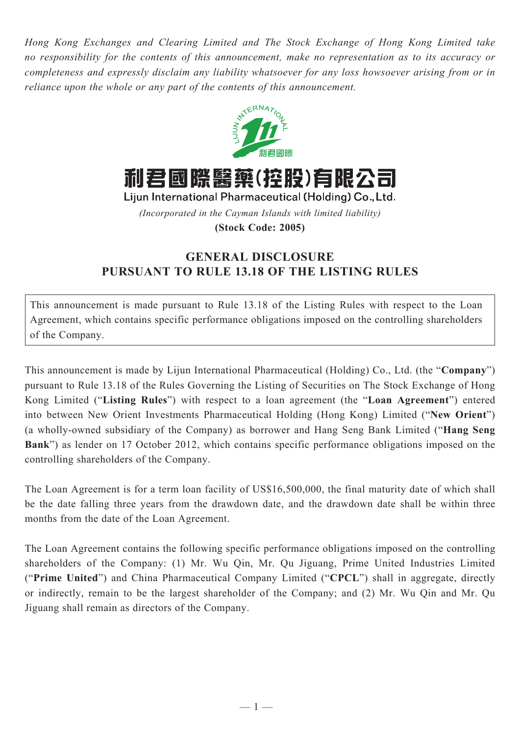*Hong Kong Exchanges and Clearing Limited and The Stock Exchange of Hong Kong Limited take no responsibility for the contents of this announcement, make no representation as to its accuracy or completeness and expressly disclaim any liability whatsoever for any loss howsoever arising from or in reliance upon the whole or any part of the contents of this announcement.*



*(Incorporated in the Cayman Islands with limited liability)*

## **(Stock Code: 2005)**

## **GENERAL DISCLOSURE PURSUANT TO RULE 13.18 OF THE LISTING RULES**

This announcement is made pursuant to Rule 13.18 of the Listing Rules with respect to the Loan Agreement, which contains specific performance obligations imposed on the controlling shareholders of the Company.

This announcement is made by Lijun International Pharmaceutical (Holding) Co., Ltd. (the "**Company**") pursuant to Rule 13.18 of the Rules Governing the Listing of Securities on The Stock Exchange of Hong Kong Limited ("**Listing Rules**") with respect to a loan agreement (the "**Loan Agreement**") entered into between New Orient Investments Pharmaceutical Holding (Hong Kong) Limited ("**New Orient**") (a wholly-owned subsidiary of the Company) as borrower and Hang Seng Bank Limited ("**Hang Seng Bank**") as lender on 17 October 2012, which contains specific performance obligations imposed on the controlling shareholders of the Company.

The Loan Agreement is for a term loan facility of US\$16,500,000, the final maturity date of which shall be the date falling three years from the drawdown date, and the drawdown date shall be within three months from the date of the Loan Agreement.

The Loan Agreement contains the following specific performance obligations imposed on the controlling shareholders of the Company: (1) Mr. Wu Qin, Mr. Qu Jiguang, Prime United Industries Limited ("**Prime United**") and China Pharmaceutical Company Limited ("**CPCL**") shall in aggregate, directly or indirectly, remain to be the largest shareholder of the Company; and (2) Mr. Wu Qin and Mr. Qu Jiguang shall remain as directors of the Company.